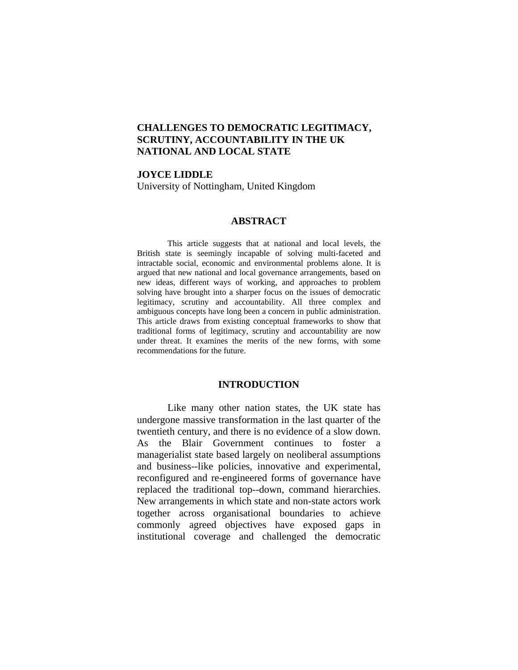# **CHALLENGES TO DEMOCRATIC LEGITIMACY, SCRUTINY, ACCOUNTABILITY IN THE UK NATIONAL AND LOCAL STATE**

#### **JOYCE LIDDLE**

University of Nottingham, United Kingdom

#### **ABSTRACT**

This article suggests that at national and local levels, the British state is seemingly incapable of solving multi-faceted and intractable social, economic and environmental problems alone. It is argued that new national and local governance arrangements, based on new ideas, different ways of working, and approaches to problem solving have brought into a sharper focus on the issues of democratic legitimacy, scrutiny and accountability. All three complex and ambiguous concepts have long been a concern in public administration. This article draws from existing conceptual frameworks to show that traditional forms of legitimacy, scrutiny and accountability are now under threat. It examines the merits of the new forms, with some recommendations for the future.

#### **INTRODUCTION**

Like many other nation states, the UK state has undergone massive transformation in the last quarter of the twentieth century, and there is no evidence of a slow down. As the Blair Government continues to foster a managerialist state based largely on neoliberal assumptions and business--like policies, innovative and experimental, reconfigured and re-engineered forms of governance have replaced the traditional top--down, command hierarchies. New arrangements in which state and non-state actors work together across organisational boundaries to achieve commonly agreed objectives have exposed gaps in institutional coverage and challenged the democratic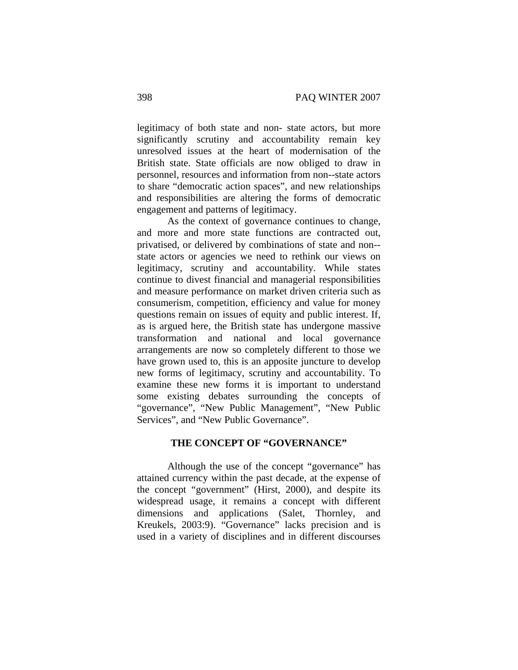legitimacy of both state and non- state actors, but more significantly scrutiny and accountability remain key unresolved issues at the heart of modernisation of the British state. State officials are now obliged to draw in personnel, resources and information from non--state actors to share "democratic action spaces", and new relationships and responsibilities are altering the forms of democratic engagement and patterns of legitimacy.

As the context of governance continues to change, and more and more state functions are contracted out, privatised, or delivered by combinations of state and non- state actors or agencies we need to rethink our views on legitimacy, scrutiny and accountability. While states continue to divest financial and managerial responsibilities and measure performance on market driven criteria such as consumerism, competition, efficiency and value for money questions remain on issues of equity and public interest. If, as is argued here, the British state has undergone massive transformation and national and local governance arrangements are now so completely different to those we have grown used to, this is an apposite juncture to develop new forms of legitimacy, scrutiny and accountability. To examine these new forms it is important to understand some existing debates surrounding the concepts of "governance", "New Public Management", "New Public Services", and "New Public Governance".

## **THE CONCEPT OF "GOVERNANCE"**

Although the use of the concept "governance" has attained currency within the past decade, at the expense of the concept "government" (Hirst, 2000), and despite its widespread usage, it remains a concept with different dimensions and applications (Salet, Thornley, and Kreukels, 2003:9). "Governance" lacks precision and is used in a variety of disciplines and in different discourses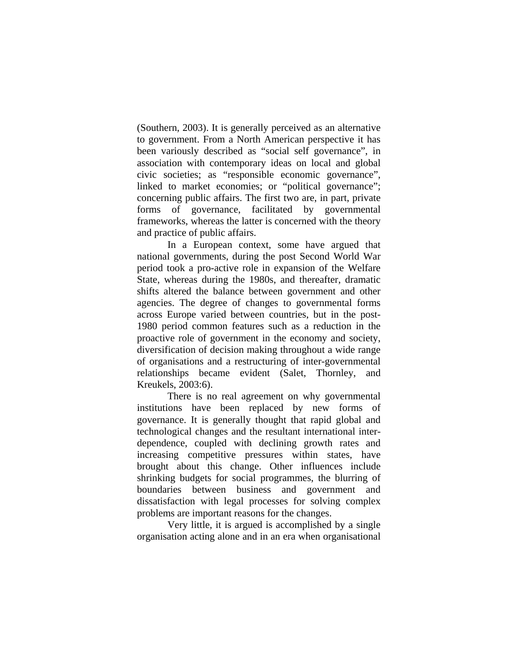(Southern, 2003). It is generally perceived as an alternative to government. From a North American perspective it has been variously described as "social self governance", in association with contemporary ideas on local and global civic societies; as "responsible economic governance", linked to market economies; or "political governance"; concerning public affairs. The first two are, in part, private forms of governance, facilitated by governmental frameworks, whereas the latter is concerned with the theory and practice of public affairs.

In a European context, some have argued that national governments, during the post Second World War period took a pro-active role in expansion of the Welfare State, whereas during the 1980s, and thereafter, dramatic shifts altered the balance between government and other agencies. The degree of changes to governmental forms across Europe varied between countries, but in the post-1980 period common features such as a reduction in the proactive role of government in the economy and society, diversification of decision making throughout a wide range of organisations and a restructuring of inter-governmental relationships became evident (Salet, Thornley, and Kreukels, 2003:6).

There is no real agreement on why governmental institutions have been replaced by new forms of governance. It is generally thought that rapid global and technological changes and the resultant international interdependence, coupled with declining growth rates and increasing competitive pressures within states, have brought about this change. Other influences include shrinking budgets for social programmes, the blurring of boundaries between business and government and dissatisfaction with legal processes for solving complex problems are important reasons for the changes.

Very little, it is argued is accomplished by a single organisation acting alone and in an era when organisational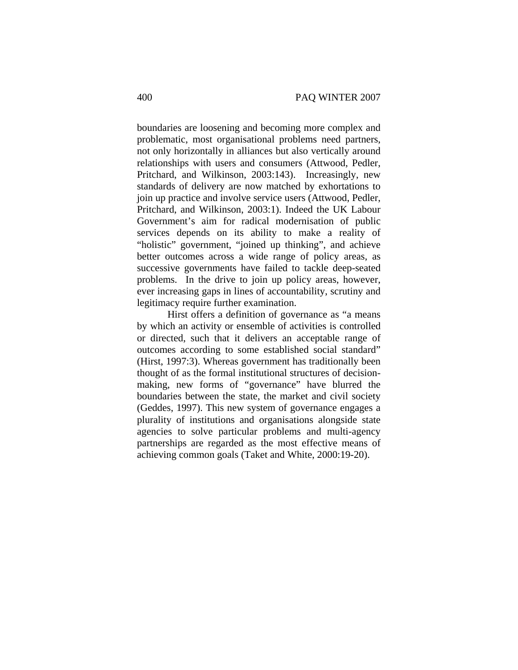boundaries are loosening and becoming more complex and problematic, most organisational problems need partners, not only horizontally in alliances but also vertically around relationships with users and consumers (Attwood, Pedler, Pritchard, and Wilkinson, 2003:143). Increasingly, new standards of delivery are now matched by exhortations to join up practice and involve service users (Attwood, Pedler, Pritchard, and Wilkinson, 2003:1). Indeed the UK Labour Government's aim for radical modernisation of public services depends on its ability to make a reality of "holistic" government, "joined up thinking", and achieve better outcomes across a wide range of policy areas, as successive governments have failed to tackle deep-seated problems. In the drive to join up policy areas, however, ever increasing gaps in lines of accountability, scrutiny and legitimacy require further examination.

Hirst offers a definition of governance as "a means by which an activity or ensemble of activities is controlled or directed, such that it delivers an acceptable range of outcomes according to some established social standard" (Hirst, 1997:3). Whereas government has traditionally been thought of as the formal institutional structures of decisionmaking, new forms of "governance" have blurred the boundaries between the state, the market and civil society (Geddes, 1997). This new system of governance engages a plurality of institutions and organisations alongside state agencies to solve particular problems and multi-agency partnerships are regarded as the most effective means of achieving common goals (Taket and White, 2000:19-20).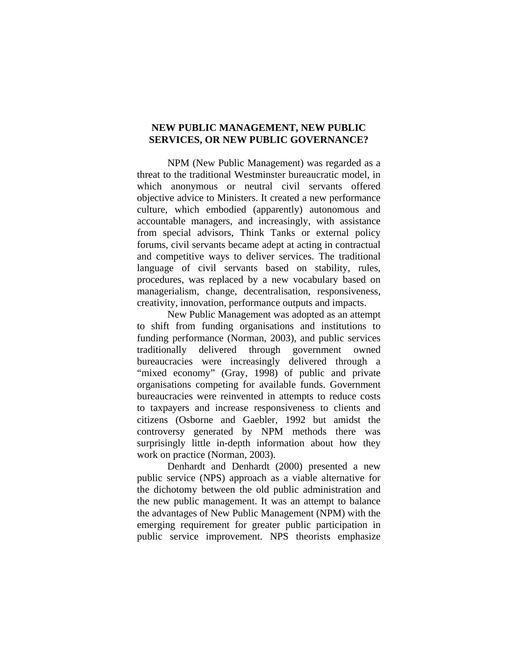## **NEW PUBLIC MANAGEMENT, NEW PUBLIC SERVICES, OR NEW PUBLIC GOVERNANCE?**

NPM (New Public Management) was regarded as a threat to the traditional Westminster bureaucratic model, in which anonymous or neutral civil servants offered objective advice to Ministers. It created a new performance culture, which embodied (apparently) autonomous and accountable managers, and increasingly, with assistance from special advisors, Think Tanks or external policy forums, civil servants became adept at acting in contractual and competitive ways to deliver services. The traditional language of civil servants based on stability, rules, procedures, was replaced by a new vocabulary based on managerialism, change, decentralisation, responsiveness, creativity, innovation, performance outputs and impacts.

New Public Management was adopted as an attempt to shift from funding organisations and institutions to funding performance (Norman, 2003), and public services traditionally delivered through government owned bureaucracies were increasingly delivered through a "mixed economy" (Gray, 1998) of public and private organisations competing for available funds. Government bureaucracies were reinvented in attempts to reduce costs to taxpayers and increase responsiveness to clients and citizens (Osborne and Gaebler, 1992 but amidst the controversy generated by NPM methods there was surprisingly little in-depth information about how they work on practice (Norman, 2003).

Denhardt and Denhardt (2000) presented a new public service (NPS) approach as a viable alternative for the dichotomy between the old public administration and the new public management. It was an attempt to balance the advantages of New Public Management (NPM) with the emerging requirement for greater public participation in public service improvement. NPS theorists emphasize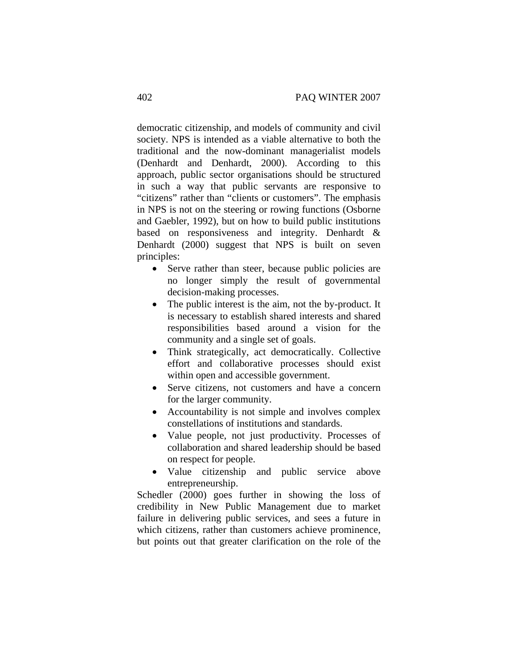democratic citizenship, and models of community and civil society. NPS is intended as a viable alternative to both the traditional and the now-dominant managerialist models (Denhardt and Denhardt, 2000). According to this approach, public sector organisations should be structured in such a way that public servants are responsive to "citizens" rather than "clients or customers". The emphasis in NPS is not on the steering or rowing functions (Osborne and Gaebler, 1992), but on how to build public institutions based on responsiveness and integrity. Denhardt & Denhardt (2000) suggest that NPS is built on seven principles:

- Serve rather than steer, because public policies are no longer simply the result of governmental decision-making processes.
- The public interest is the aim, not the by-product. It is necessary to establish shared interests and shared responsibilities based around a vision for the community and a single set of goals.
- Think strategically, act democratically. Collective effort and collaborative processes should exist within open and accessible government.
- Serve citizens, not customers and have a concern for the larger community.
- Accountability is not simple and involves complex constellations of institutions and standards.
- Value people, not just productivity. Processes of collaboration and shared leadership should be based on respect for people.
- Value citizenship and public service above entrepreneurship.

Schedler (2000) goes further in showing the loss of credibility in New Public Management due to market failure in delivering public services, and sees a future in which citizens, rather than customers achieve prominence, but points out that greater clarification on the role of the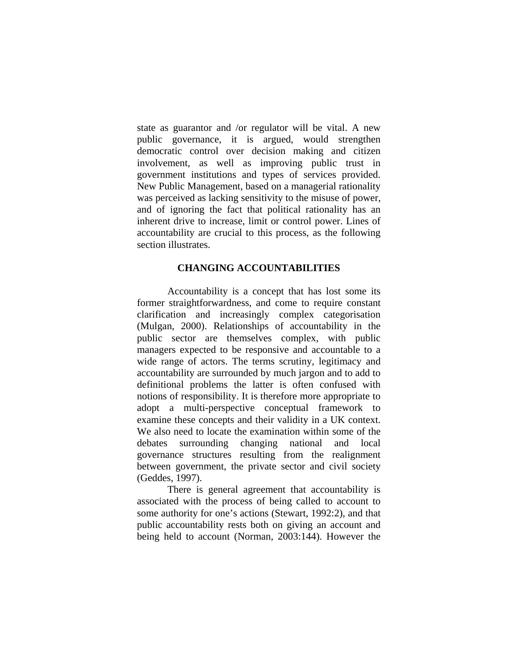state as guarantor and /or regulator will be vital. A new public governance, it is argued, would strengthen democratic control over decision making and citizen involvement, as well as improving public trust in government institutions and types of services provided. New Public Management, based on a managerial rationality was perceived as lacking sensitivity to the misuse of power, and of ignoring the fact that political rationality has an inherent drive to increase, limit or control power. Lines of accountability are crucial to this process, as the following section illustrates.

### **CHANGING ACCOUNTABILITIES**

Accountability is a concept that has lost some its former straightforwardness, and come to require constant clarification and increasingly complex categorisation (Mulgan, 2000). Relationships of accountability in the public sector are themselves complex, with public managers expected to be responsive and accountable to a wide range of actors. The terms scrutiny, legitimacy and accountability are surrounded by much jargon and to add to definitional problems the latter is often confused with notions of responsibility. It is therefore more appropriate to adopt a multi-perspective conceptual framework to examine these concepts and their validity in a UK context. We also need to locate the examination within some of the debates surrounding changing national and local governance structures resulting from the realignment between government, the private sector and civil society (Geddes, 1997).

There is general agreement that accountability is associated with the process of being called to account to some authority for one's actions (Stewart, 1992:2), and that public accountability rests both on giving an account and being held to account (Norman, 2003:144). However the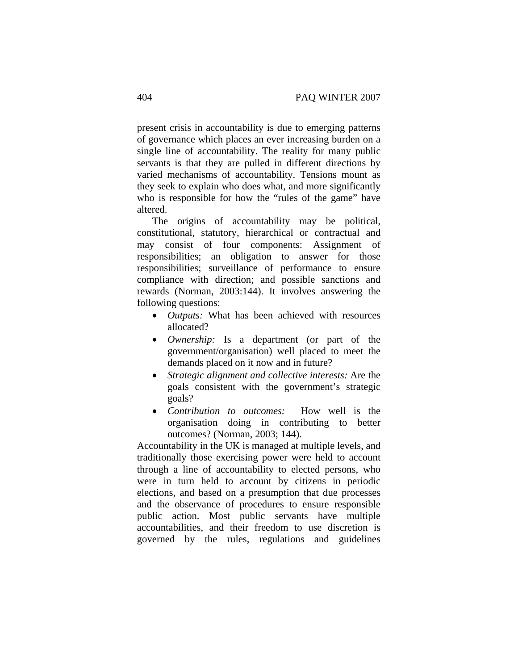present crisis in accountability is due to emerging patterns of governance which places an ever increasing burden on a single line of accountability. The reality for many public servants is that they are pulled in different directions by varied mechanisms of accountability. Tensions mount as they seek to explain who does what, and more significantly who is responsible for how the "rules of the game" have altered.

The origins of accountability may be political, constitutional, statutory, hierarchical or contractual and may consist of four components: Assignment of responsibilities; an obligation to answer for those responsibilities; surveillance of performance to ensure compliance with direction; and possible sanctions and rewards (Norman, 2003:144). It involves answering the following questions:

- *Outputs:* What has been achieved with resources allocated?
- *Ownership:* Is a department (or part of the government/organisation) well placed to meet the demands placed on it now and in future?
- *Strategic alignment and collective interests:* Are the goals consistent with the government's strategic goals?
- *Contribution to outcomes:* How well is the organisation doing in contributing to better outcomes? (Norman, 2003; 144).

Accountability in the UK is managed at multiple levels, and traditionally those exercising power were held to account through a line of accountability to elected persons, who were in turn held to account by citizens in periodic elections, and based on a presumption that due processes and the observance of procedures to ensure responsible public action. Most public servants have multiple accountabilities, and their freedom to use discretion is governed by the rules, regulations and guidelines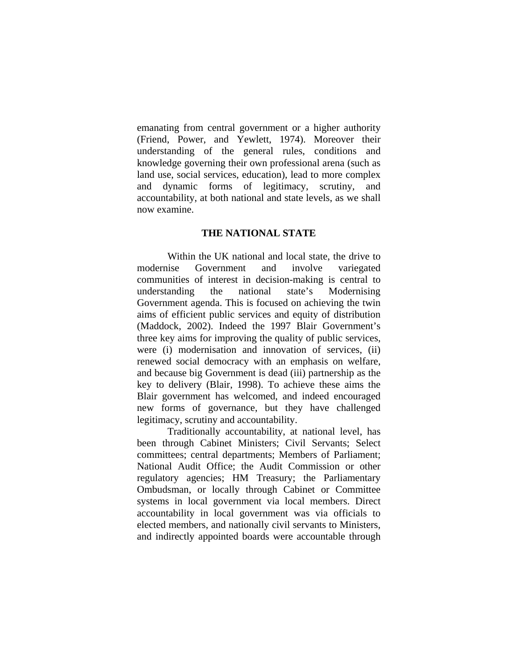emanating from central government or a higher authority (Friend, Power, and Yewlett, 1974). Moreover their understanding of the general rules, conditions and knowledge governing their own professional arena (such as land use, social services, education), lead to more complex and dynamic forms of legitimacy, scrutiny, and accountability, at both national and state levels, as we shall now examine.

### **THE NATIONAL STATE**

Within the UK national and local state, the drive to modernise Government and involve variegated communities of interest in decision-making is central to understanding the national state's Modernising Government agenda. This is focused on achieving the twin aims of efficient public services and equity of distribution (Maddock, 2002). Indeed the 1997 Blair Government's three key aims for improving the quality of public services, were (i) modernisation and innovation of services, (ii) renewed social democracy with an emphasis on welfare, and because big Government is dead (iii) partnership as the key to delivery (Blair, 1998). To achieve these aims the Blair government has welcomed, and indeed encouraged new forms of governance, but they have challenged legitimacy, scrutiny and accountability.

Traditionally accountability, at national level, has been through Cabinet Ministers; Civil Servants; Select committees; central departments; Members of Parliament; National Audit Office; the Audit Commission or other regulatory agencies; HM Treasury; the Parliamentary Ombudsman, or locally through Cabinet or Committee systems in local government via local members. Direct accountability in local government was via officials to elected members, and nationally civil servants to Ministers, and indirectly appointed boards were accountable through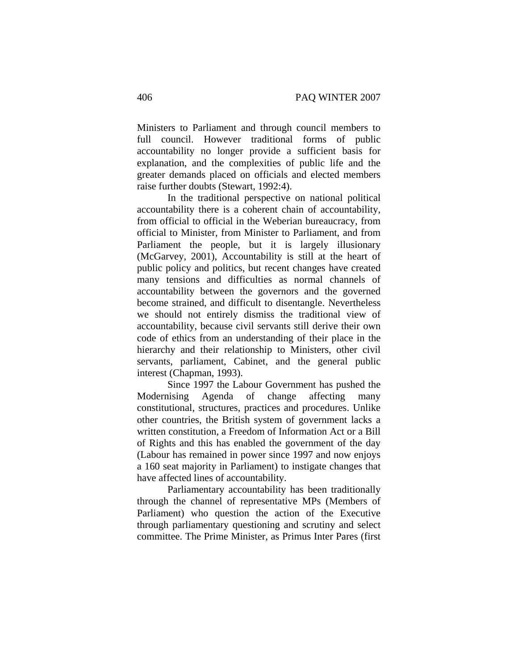Ministers to Parliament and through council members to full council. However traditional forms of public accountability no longer provide a sufficient basis for explanation, and the complexities of public life and the greater demands placed on officials and elected members raise further doubts (Stewart, 1992:4).

In the traditional perspective on national political accountability there is a coherent chain of accountability, from official to official in the Weberian bureaucracy, from official to Minister, from Minister to Parliament, and from Parliament the people, but it is largely illusionary (McGarvey, 2001), Accountability is still at the heart of public policy and politics, but recent changes have created many tensions and difficulties as normal channels of accountability between the governors and the governed become strained, and difficult to disentangle. Nevertheless we should not entirely dismiss the traditional view of accountability, because civil servants still derive their own code of ethics from an understanding of their place in the hierarchy and their relationship to Ministers, other civil servants, parliament, Cabinet, and the general public interest (Chapman, 1993).

Since 1997 the Labour Government has pushed the Modernising Agenda of change affecting many constitutional, structures, practices and procedures. Unlike other countries, the British system of government lacks a written constitution, a Freedom of Information Act or a Bill of Rights and this has enabled the government of the day (Labour has remained in power since 1997 and now enjoys a 160 seat majority in Parliament) to instigate changes that have affected lines of accountability.

Parliamentary accountability has been traditionally through the channel of representative MPs (Members of Parliament) who question the action of the Executive through parliamentary questioning and scrutiny and select committee. The Prime Minister, as Primus Inter Pares (first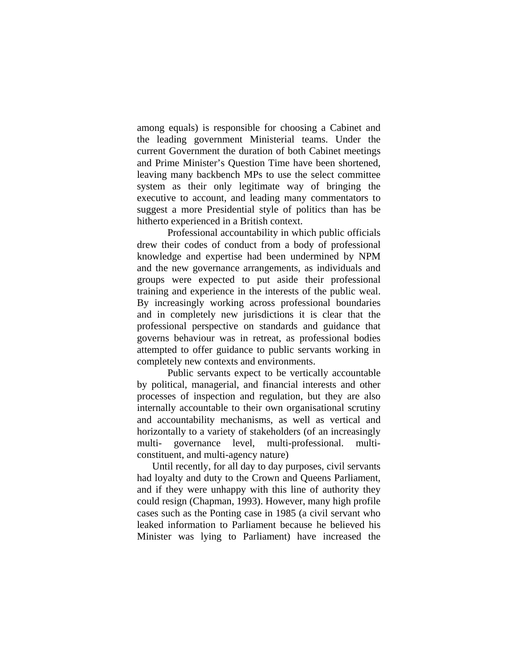among equals) is responsible for choosing a Cabinet and the leading government Ministerial teams. Under the current Government the duration of both Cabinet meetings and Prime Minister's Question Time have been shortened, leaving many backbench MPs to use the select committee system as their only legitimate way of bringing the executive to account, and leading many commentators to suggest a more Presidential style of politics than has be hitherto experienced in a British context.

Professional accountability in which public officials drew their codes of conduct from a body of professional knowledge and expertise had been undermined by NPM and the new governance arrangements, as individuals and groups were expected to put aside their professional training and experience in the interests of the public weal. By increasingly working across professional boundaries and in completely new jurisdictions it is clear that the professional perspective on standards and guidance that governs behaviour was in retreat, as professional bodies attempted to offer guidance to public servants working in completely new contexts and environments.

Public servants expect to be vertically accountable by political, managerial, and financial interests and other processes of inspection and regulation, but they are also internally accountable to their own organisational scrutiny and accountability mechanisms, as well as vertical and horizontally to a variety of stakeholders (of an increasingly multi- governance level, multi-professional. multiconstituent, and multi-agency nature)

Until recently, for all day to day purposes, civil servants had loyalty and duty to the Crown and Queens Parliament, and if they were unhappy with this line of authority they could resign (Chapman, 1993). However, many high profile cases such as the Ponting case in 1985 (a civil servant who leaked information to Parliament because he believed his Minister was lying to Parliament) have increased the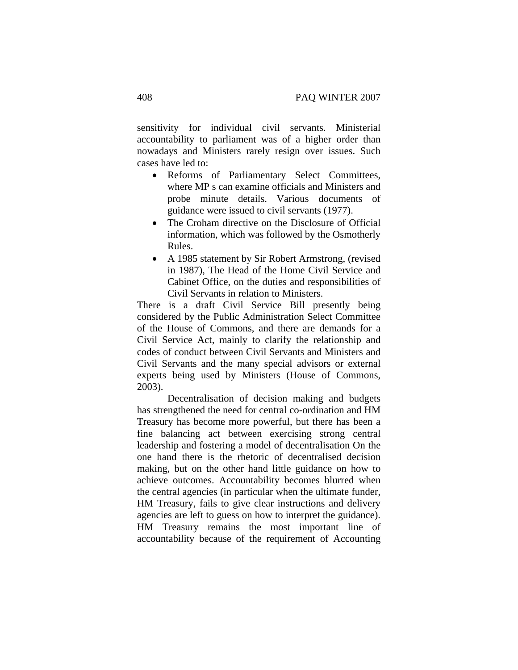sensitivity for individual civil servants. Ministerial accountability to parliament was of a higher order than nowadays and Ministers rarely resign over issues. Such cases have led to:

- Reforms of Parliamentary Select Committees, where MP s can examine officials and Ministers and probe minute details. Various documents of guidance were issued to civil servants (1977).
- The Croham directive on the Disclosure of Official information, which was followed by the Osmotherly Rules.
- A 1985 statement by Sir Robert Armstrong, (revised in 1987), The Head of the Home Civil Service and Cabinet Office, on the duties and responsibilities of Civil Servants in relation to Ministers.

There is a draft Civil Service Bill presently being considered by the Public Administration Select Committee of the House of Commons, and there are demands for a Civil Service Act, mainly to clarify the relationship and codes of conduct between Civil Servants and Ministers and Civil Servants and the many special advisors or external experts being used by Ministers (House of Commons, 2003).

Decentralisation of decision making and budgets has strengthened the need for central co-ordination and HM Treasury has become more powerful, but there has been a fine balancing act between exercising strong central leadership and fostering a model of decentralisation On the one hand there is the rhetoric of decentralised decision making, but on the other hand little guidance on how to achieve outcomes. Accountability becomes blurred when the central agencies (in particular when the ultimate funder, HM Treasury, fails to give clear instructions and delivery agencies are left to guess on how to interpret the guidance). HM Treasury remains the most important line of accountability because of the requirement of Accounting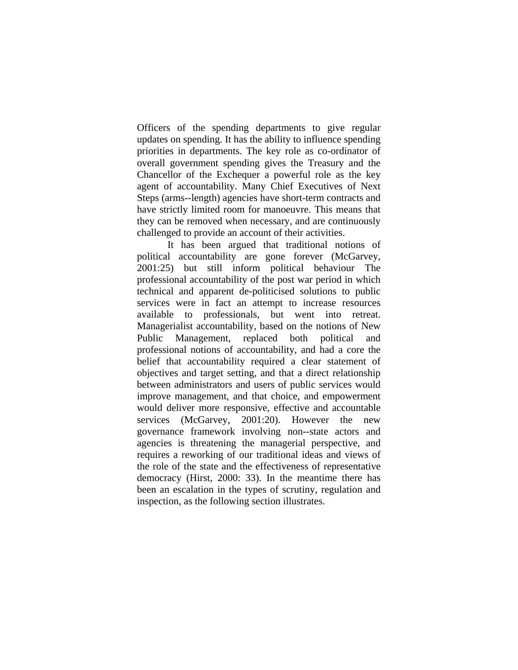Officers of the spending departments to give regular updates on spending. It has the ability to influence spending priorities in departments. The key role as co-ordinator of overall government spending gives the Treasury and the Chancellor of the Exchequer a powerful role as the key agent of accountability. Many Chief Executives of Next Steps (arms--length) agencies have short-term contracts and have strictly limited room for manoeuvre. This means that they can be removed when necessary, and are continuously challenged to provide an account of their activities.

It has been argued that traditional notions of political accountability are gone forever (McGarvey, 2001:25) but still inform political behaviour The professional accountability of the post war period in which technical and apparent de-politicised solutions to public services were in fact an attempt to increase resources available to professionals, but went into retreat. Managerialist accountability, based on the notions of New Public Management, replaced both political and professional notions of accountability, and had a core the belief that accountability required a clear statement of objectives and target setting, and that a direct relationship between administrators and users of public services would improve management, and that choice, and empowerment would deliver more responsive, effective and accountable services (McGarvey, 2001:20). However the new governance framework involving non--state actors and agencies is threatening the managerial perspective, and requires a reworking of our traditional ideas and views of the role of the state and the effectiveness of representative democracy (Hirst, 2000: 33). In the meantime there has been an escalation in the types of scrutiny, regulation and inspection, as the following section illustrates.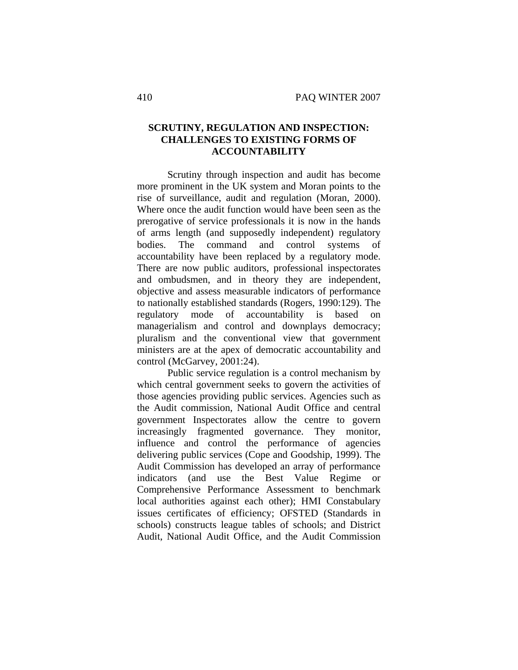# **SCRUTINY, REGULATION AND INSPECTION: CHALLENGES TO EXISTING FORMS OF ACCOUNTABILITY**

Scrutiny through inspection and audit has become more prominent in the UK system and Moran points to the rise of surveillance, audit and regulation (Moran, 2000). Where once the audit function would have been seen as the prerogative of service professionals it is now in the hands of arms length (and supposedly independent) regulatory bodies. The command and control systems of accountability have been replaced by a regulatory mode. There are now public auditors, professional inspectorates and ombudsmen, and in theory they are independent, objective and assess measurable indicators of performance to nationally established standards (Rogers, 1990:129). The regulatory mode of accountability is based on managerialism and control and downplays democracy; pluralism and the conventional view that government ministers are at the apex of democratic accountability and control (McGarvey, 2001:24).

Public service regulation is a control mechanism by which central government seeks to govern the activities of those agencies providing public services. Agencies such as the Audit commission, National Audit Office and central government Inspectorates allow the centre to govern increasingly fragmented governance. They monitor, influence and control the performance of agencies delivering public services (Cope and Goodship, 1999). The Audit Commission has developed an array of performance indicators (and use the Best Value Regime or Comprehensive Performance Assessment to benchmark local authorities against each other); HMI Constabulary issues certificates of efficiency; OFSTED (Standards in schools) constructs league tables of schools; and District Audit, National Audit Office, and the Audit Commission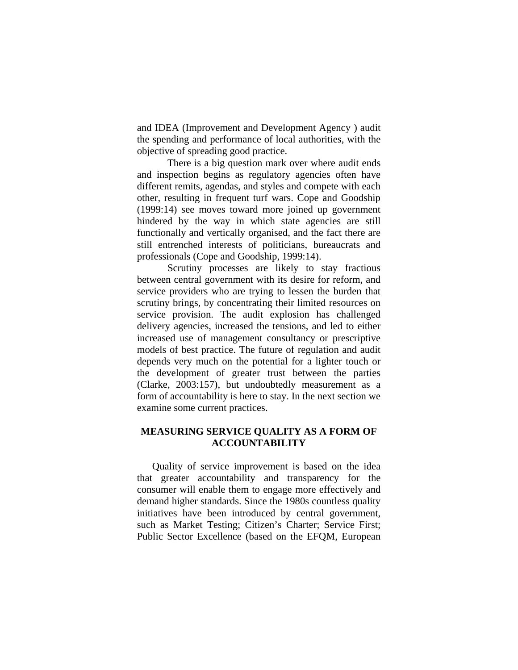and IDEA (Improvement and Development Agency ) audit the spending and performance of local authorities, with the objective of spreading good practice.

There is a big question mark over where audit ends and inspection begins as regulatory agencies often have different remits, agendas, and styles and compete with each other, resulting in frequent turf wars. Cope and Goodship (1999:14) see moves toward more joined up government hindered by the way in which state agencies are still functionally and vertically organised, and the fact there are still entrenched interests of politicians, bureaucrats and professionals (Cope and Goodship, 1999:14).

Scrutiny processes are likely to stay fractious between central government with its desire for reform, and service providers who are trying to lessen the burden that scrutiny brings, by concentrating their limited resources on service provision. The audit explosion has challenged delivery agencies, increased the tensions, and led to either increased use of management consultancy or prescriptive models of best practice. The future of regulation and audit depends very much on the potential for a lighter touch or the development of greater trust between the parties (Clarke, 2003:157), but undoubtedly measurement as a form of accountability is here to stay. In the next section we examine some current practices.

## **MEASURING SERVICE QUALITY AS A FORM OF ACCOUNTABILITY**

Quality of service improvement is based on the idea that greater accountability and transparency for the consumer will enable them to engage more effectively and demand higher standards. Since the 1980s countless quality initiatives have been introduced by central government, such as Market Testing; Citizen's Charter; Service First; Public Sector Excellence (based on the EFQM, European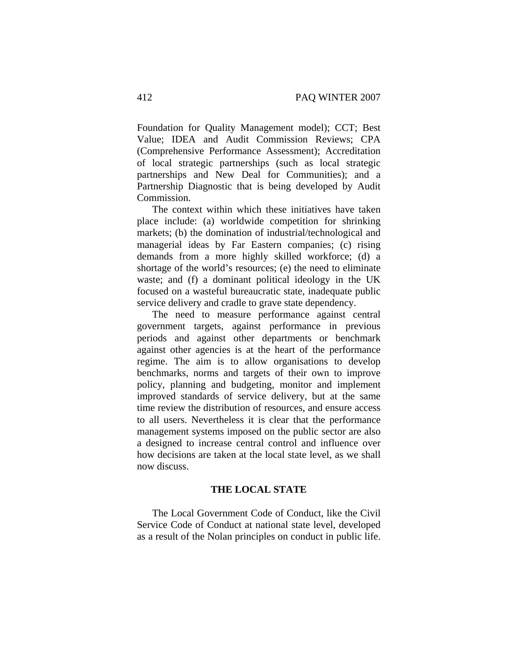Foundation for Quality Management model); CCT; Best Value; IDEA and Audit Commission Reviews; CPA (Comprehensive Performance Assessment); Accreditation of local strategic partnerships (such as local strategic partnerships and New Deal for Communities); and a Partnership Diagnostic that is being developed by Audit Commission.

The context within which these initiatives have taken place include: (a) worldwide competition for shrinking markets; (b) the domination of industrial/technological and managerial ideas by Far Eastern companies; (c) rising demands from a more highly skilled workforce; (d) a shortage of the world's resources; (e) the need to eliminate waste; and (f) a dominant political ideology in the UK focused on a wasteful bureaucratic state, inadequate public service delivery and cradle to grave state dependency.

The need to measure performance against central government targets, against performance in previous periods and against other departments or benchmark against other agencies is at the heart of the performance regime. The aim is to allow organisations to develop benchmarks, norms and targets of their own to improve policy, planning and budgeting, monitor and implement improved standards of service delivery, but at the same time review the distribution of resources, and ensure access to all users. Nevertheless it is clear that the performance management systems imposed on the public sector are also a designed to increase central control and influence over how decisions are taken at the local state level, as we shall now discuss.

### **THE LOCAL STATE**

The Local Government Code of Conduct, like the Civil Service Code of Conduct at national state level, developed as a result of the Nolan principles on conduct in public life.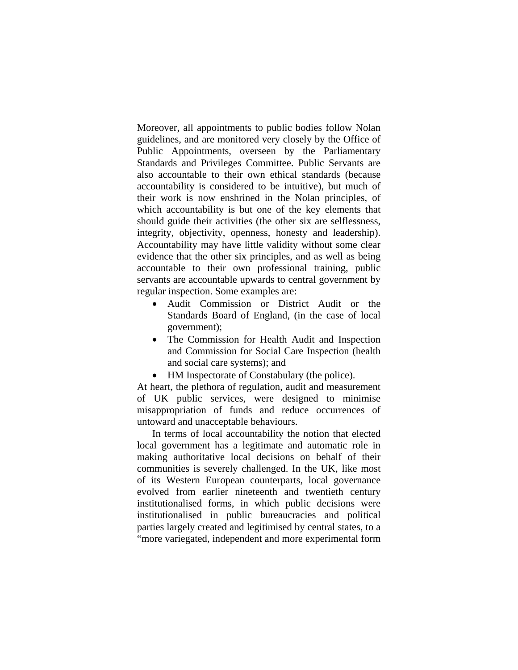Moreover, all appointments to public bodies follow Nolan guidelines, and are monitored very closely by the Office of Public Appointments, overseen by the Parliamentary Standards and Privileges Committee. Public Servants are also accountable to their own ethical standards (because accountability is considered to be intuitive), but much of their work is now enshrined in the Nolan principles, of which accountability is but one of the key elements that should guide their activities (the other six are selflessness, integrity, objectivity, openness, honesty and leadership). Accountability may have little validity without some clear evidence that the other six principles, and as well as being accountable to their own professional training, public servants are accountable upwards to central government by regular inspection. Some examples are:

- Audit Commission or District Audit or the Standards Board of England, (in the case of local government);
- The Commission for Health Audit and Inspection and Commission for Social Care Inspection (health and social care systems); and
- HM Inspectorate of Constabulary (the police).

At heart, the plethora of regulation, audit and measurement of UK public services, were designed to minimise misappropriation of funds and reduce occurrences of untoward and unacceptable behaviours.

In terms of local accountability the notion that elected local government has a legitimate and automatic role in making authoritative local decisions on behalf of their communities is severely challenged. In the UK, like most of its Western European counterparts, local governance evolved from earlier nineteenth and twentieth century institutionalised forms, in which public decisions were institutionalised in public bureaucracies and political parties largely created and legitimised by central states, to a "more variegated, independent and more experimental form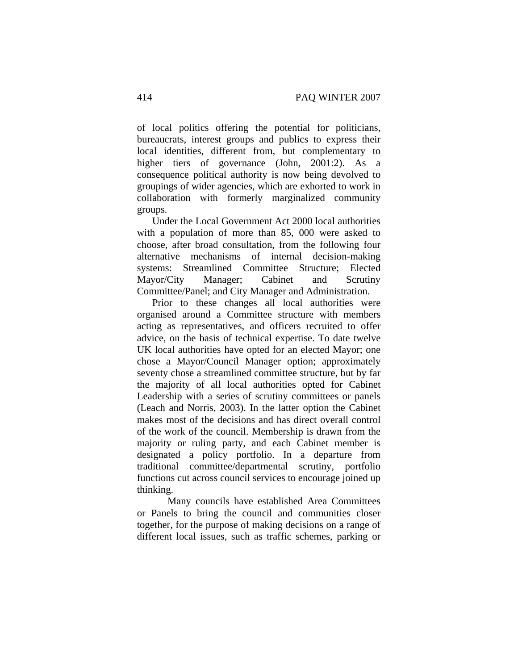of local politics offering the potential for politicians, bureaucrats, interest groups and publics to express their local identities, different from, but complementary to higher tiers of governance (John, 2001:2). As a consequence political authority is now being devolved to groupings of wider agencies, which are exhorted to work in collaboration with formerly marginalized community groups.

Under the Local Government Act 2000 local authorities with a population of more than 85, 000 were asked to choose, after broad consultation, from the following four alternative mechanisms of internal decision-making systems: Streamlined Committee Structure; Elected Mayor/City Manager; Cabinet and Scrutiny Committee/Panel; and City Manager and Administration.

Prior to these changes all local authorities were organised around a Committee structure with members acting as representatives, and officers recruited to offer advice, on the basis of technical expertise. To date twelve UK local authorities have opted for an elected Mayor; one chose a Mayor/Council Manager option; approximately seventy chose a streamlined committee structure, but by far the majority of all local authorities opted for Cabinet Leadership with a series of scrutiny committees or panels (Leach and Norris, 2003). In the latter option the Cabinet makes most of the decisions and has direct overall control of the work of the council. Membership is drawn from the majority or ruling party, and each Cabinet member is designated a policy portfolio. In a departure from traditional committee/departmental scrutiny, portfolio functions cut across council services to encourage joined up thinking.

Many councils have established Area Committees or Panels to bring the council and communities closer together, for the purpose of making decisions on a range of different local issues, such as traffic schemes, parking or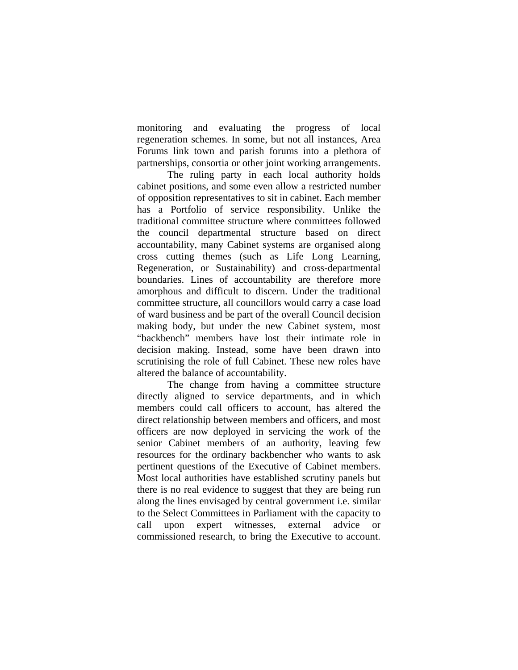monitoring and evaluating the progress of local regeneration schemes. In some, but not all instances, Area Forums link town and parish forums into a plethora of partnerships, consortia or other joint working arrangements.

The ruling party in each local authority holds cabinet positions, and some even allow a restricted number of opposition representatives to sit in cabinet. Each member has a Portfolio of service responsibility. Unlike the traditional committee structure where committees followed the council departmental structure based on direct accountability, many Cabinet systems are organised along cross cutting themes (such as Life Long Learning, Regeneration, or Sustainability) and cross-departmental boundaries. Lines of accountability are therefore more amorphous and difficult to discern. Under the traditional committee structure, all councillors would carry a case load of ward business and be part of the overall Council decision making body, but under the new Cabinet system, most "backbench" members have lost their intimate role in decision making. Instead, some have been drawn into scrutinising the role of full Cabinet. These new roles have altered the balance of accountability.

The change from having a committee structure directly aligned to service departments, and in which members could call officers to account, has altered the direct relationship between members and officers, and most officers are now deployed in servicing the work of the senior Cabinet members of an authority, leaving few resources for the ordinary backbencher who wants to ask pertinent questions of the Executive of Cabinet members. Most local authorities have established scrutiny panels but there is no real evidence to suggest that they are being run along the lines envisaged by central government i.e. similar to the Select Committees in Parliament with the capacity to call upon expert witnesses, external advice or commissioned research, to bring the Executive to account.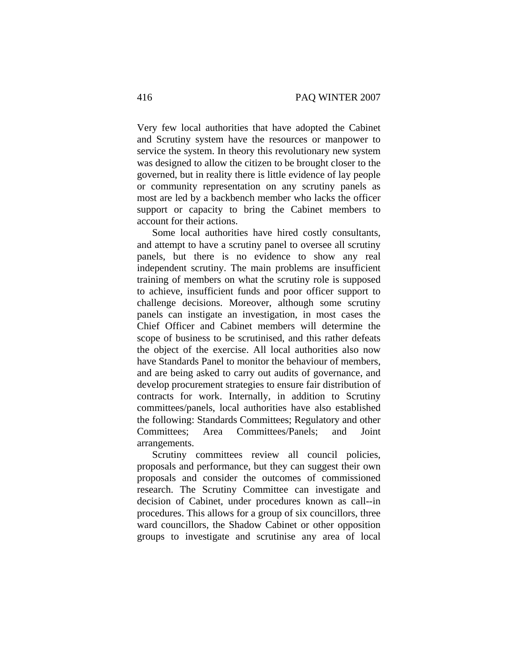Very few local authorities that have adopted the Cabinet and Scrutiny system have the resources or manpower to service the system. In theory this revolutionary new system was designed to allow the citizen to be brought closer to the governed, but in reality there is little evidence of lay people or community representation on any scrutiny panels as most are led by a backbench member who lacks the officer support or capacity to bring the Cabinet members to account for their actions.

Some local authorities have hired costly consultants, and attempt to have a scrutiny panel to oversee all scrutiny panels, but there is no evidence to show any real independent scrutiny. The main problems are insufficient training of members on what the scrutiny role is supposed to achieve, insufficient funds and poor officer support to challenge decisions. Moreover, although some scrutiny panels can instigate an investigation, in most cases the Chief Officer and Cabinet members will determine the scope of business to be scrutinised, and this rather defeats the object of the exercise. All local authorities also now have Standards Panel to monitor the behaviour of members, and are being asked to carry out audits of governance, and develop procurement strategies to ensure fair distribution of contracts for work. Internally, in addition to Scrutiny committees/panels, local authorities have also established the following: Standards Committees; Regulatory and other Committees; Area Committees/Panels; and Joint arrangements.

Scrutiny committees review all council policies, proposals and performance, but they can suggest their own proposals and consider the outcomes of commissioned research. The Scrutiny Committee can investigate and decision of Cabinet, under procedures known as call--in procedures. This allows for a group of six councillors, three ward councillors, the Shadow Cabinet or other opposition groups to investigate and scrutinise any area of local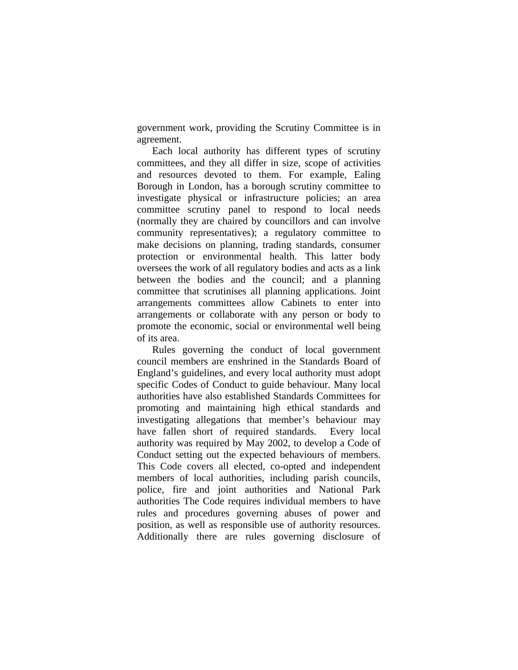government work, providing the Scrutiny Committee is in agreement.

Each local authority has different types of scrutiny committees, and they all differ in size, scope of activities and resources devoted to them. For example, Ealing Borough in London, has a borough scrutiny committee to investigate physical or infrastructure policies; an area committee scrutiny panel to respond to local needs (normally they are chaired by councillors and can involve community representatives); a regulatory committee to make decisions on planning, trading standards, consumer protection or environmental health. This latter body oversees the work of all regulatory bodies and acts as a link between the bodies and the council; and a planning committee that scrutinises all planning applications. Joint arrangements committees allow Cabinets to enter into arrangements or collaborate with any person or body to promote the economic, social or environmental well being of its area.

Rules governing the conduct of local government council members are enshrined in the Standards Board of England's guidelines, and every local authority must adopt specific Codes of Conduct to guide behaviour. Many local authorities have also established Standards Committees for promoting and maintaining high ethical standards and investigating allegations that member's behaviour may have fallen short of required standards. Every local authority was required by May 2002, to develop a Code of Conduct setting out the expected behaviours of members. This Code covers all elected, co-opted and independent members of local authorities, including parish councils, police, fire and joint authorities and National Park authorities The Code requires individual members to have rules and procedures governing abuses of power and position, as well as responsible use of authority resources. Additionally there are rules governing disclosure of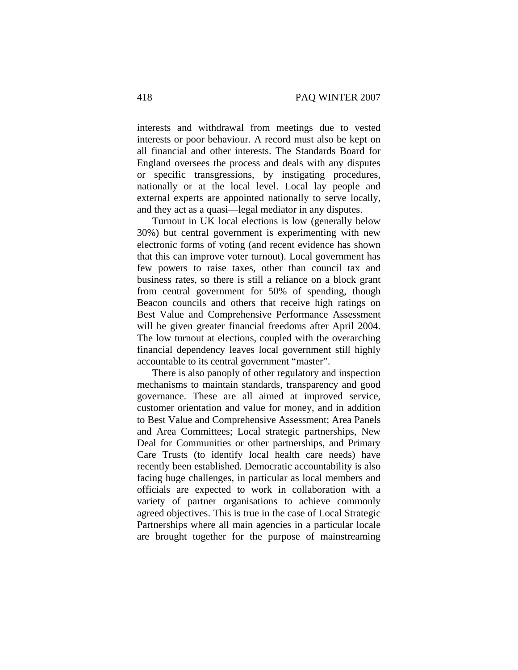interests and withdrawal from meetings due to vested interests or poor behaviour. A record must also be kept on all financial and other interests. The Standards Board for England oversees the process and deals with any disputes or specific transgressions, by instigating procedures, nationally or at the local level. Local lay people and external experts are appointed nationally to serve locally, and they act as a quasi—legal mediator in any disputes.

Turnout in UK local elections is low (generally below 30%) but central government is experimenting with new electronic forms of voting (and recent evidence has shown that this can improve voter turnout). Local government has few powers to raise taxes, other than council tax and business rates, so there is still a reliance on a block grant from central government for 50% of spending, though Beacon councils and others that receive high ratings on Best Value and Comprehensive Performance Assessment will be given greater financial freedoms after April 2004. The low turnout at elections, coupled with the overarching financial dependency leaves local government still highly accountable to its central government "master".

There is also panoply of other regulatory and inspection mechanisms to maintain standards, transparency and good governance. These are all aimed at improved service, customer orientation and value for money, and in addition to Best Value and Comprehensive Assessment; Area Panels and Area Committees; Local strategic partnerships, New Deal for Communities or other partnerships, and Primary Care Trusts (to identify local health care needs) have recently been established. Democratic accountability is also facing huge challenges, in particular as local members and officials are expected to work in collaboration with a variety of partner organisations to achieve commonly agreed objectives. This is true in the case of Local Strategic Partnerships where all main agencies in a particular locale are brought together for the purpose of mainstreaming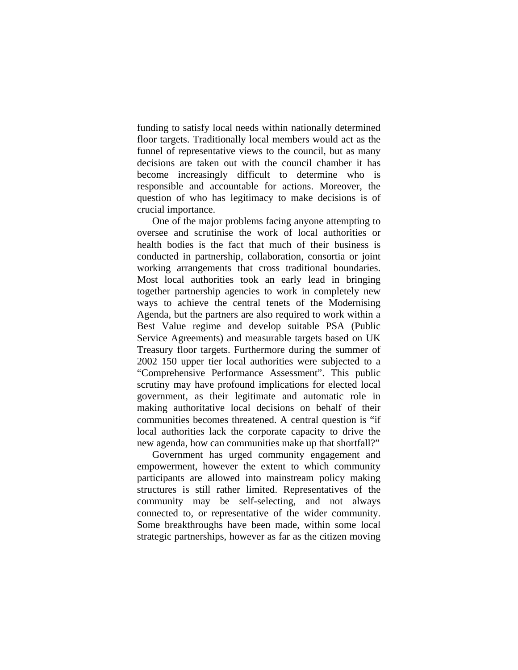funding to satisfy local needs within nationally determined floor targets. Traditionally local members would act as the funnel of representative views to the council, but as many decisions are taken out with the council chamber it has become increasingly difficult to determine who is responsible and accountable for actions. Moreover, the question of who has legitimacy to make decisions is of crucial importance.

One of the major problems facing anyone attempting to oversee and scrutinise the work of local authorities or health bodies is the fact that much of their business is conducted in partnership, collaboration, consortia or joint working arrangements that cross traditional boundaries. Most local authorities took an early lead in bringing together partnership agencies to work in completely new ways to achieve the central tenets of the Modernising Agenda, but the partners are also required to work within a Best Value regime and develop suitable PSA (Public Service Agreements) and measurable targets based on UK Treasury floor targets. Furthermore during the summer of 2002 150 upper tier local authorities were subjected to a "Comprehensive Performance Assessment". This public scrutiny may have profound implications for elected local government, as their legitimate and automatic role in making authoritative local decisions on behalf of their communities becomes threatened. A central question is "if local authorities lack the corporate capacity to drive the new agenda, how can communities make up that shortfall?"

Government has urged community engagement and empowerment, however the extent to which community participants are allowed into mainstream policy making structures is still rather limited. Representatives of the community may be self-selecting, and not always connected to, or representative of the wider community. Some breakthroughs have been made, within some local strategic partnerships, however as far as the citizen moving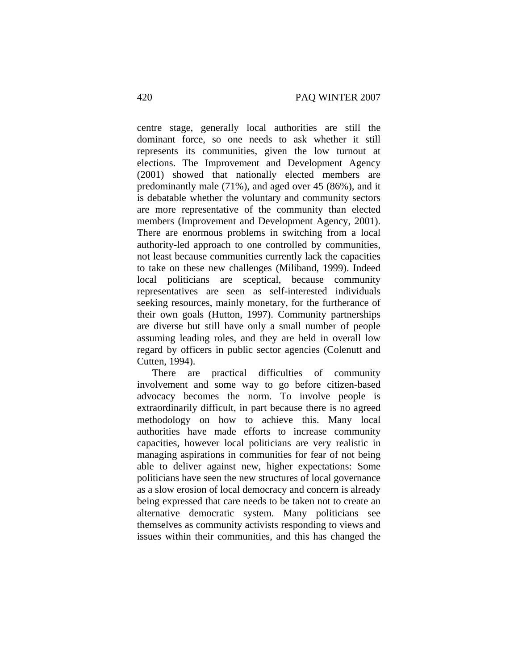centre stage, generally local authorities are still the dominant force, so one needs to ask whether it still represents its communities, given the low turnout at elections. The Improvement and Development Agency (2001) showed that nationally elected members are predominantly male (71%), and aged over 45 (86%), and it is debatable whether the voluntary and community sectors are more representative of the community than elected members (Improvement and Development Agency, 2001). There are enormous problems in switching from a local authority-led approach to one controlled by communities, not least because communities currently lack the capacities to take on these new challenges (Miliband, 1999). Indeed local politicians are sceptical, because community representatives are seen as self-interested individuals seeking resources, mainly monetary, for the furtherance of their own goals (Hutton, 1997). Community partnerships are diverse but still have only a small number of people assuming leading roles, and they are held in overall low regard by officers in public sector agencies (Colenutt and Cutten, 1994).

There are practical difficulties of community involvement and some way to go before citizen-based advocacy becomes the norm. To involve people is extraordinarily difficult, in part because there is no agreed methodology on how to achieve this. Many local authorities have made efforts to increase community capacities, however local politicians are very realistic in managing aspirations in communities for fear of not being able to deliver against new, higher expectations: Some politicians have seen the new structures of local governance as a slow erosion of local democracy and concern is already being expressed that care needs to be taken not to create an alternative democratic system. Many politicians see themselves as community activists responding to views and issues within their communities, and this has changed the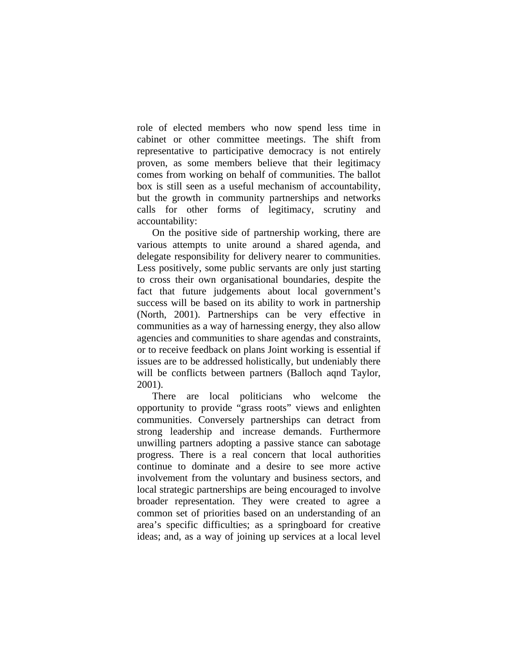role of elected members who now spend less time in cabinet or other committee meetings. The shift from representative to participative democracy is not entirely proven, as some members believe that their legitimacy comes from working on behalf of communities. The ballot box is still seen as a useful mechanism of accountability, but the growth in community partnerships and networks calls for other forms of legitimacy, scrutiny and accountability:

On the positive side of partnership working, there are various attempts to unite around a shared agenda, and delegate responsibility for delivery nearer to communities. Less positively, some public servants are only just starting to cross their own organisational boundaries, despite the fact that future judgements about local government's success will be based on its ability to work in partnership (North, 2001). Partnerships can be very effective in communities as a way of harnessing energy, they also allow agencies and communities to share agendas and constraints, or to receive feedback on plans Joint working is essential if issues are to be addressed holistically, but undeniably there will be conflicts between partners (Balloch aqnd Taylor, 2001).

There are local politicians who welcome the opportunity to provide "grass roots" views and enlighten communities. Conversely partnerships can detract from strong leadership and increase demands. Furthermore unwilling partners adopting a passive stance can sabotage progress. There is a real concern that local authorities continue to dominate and a desire to see more active involvement from the voluntary and business sectors, and local strategic partnerships are being encouraged to involve broader representation. They were created to agree a common set of priorities based on an understanding of an area's specific difficulties; as a springboard for creative ideas; and, as a way of joining up services at a local level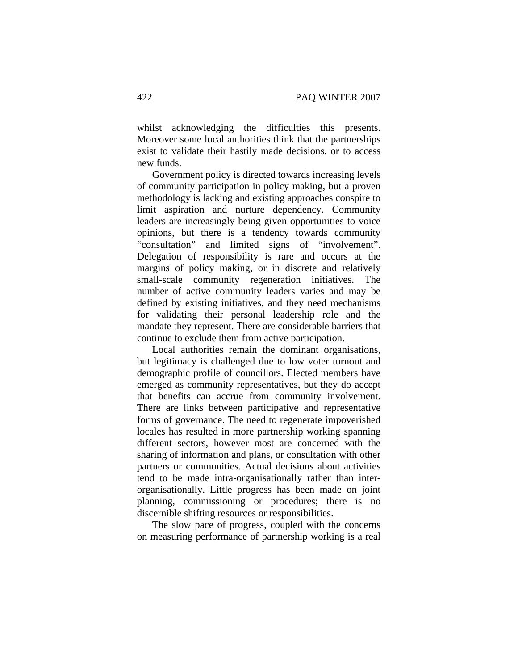whilst acknowledging the difficulties this presents. Moreover some local authorities think that the partnerships exist to validate their hastily made decisions, or to access new funds.

Government policy is directed towards increasing levels of community participation in policy making, but a proven methodology is lacking and existing approaches conspire to limit aspiration and nurture dependency. Community leaders are increasingly being given opportunities to voice opinions, but there is a tendency towards community "consultation" and limited signs of "involvement". Delegation of responsibility is rare and occurs at the margins of policy making, or in discrete and relatively small-scale community regeneration initiatives. The number of active community leaders varies and may be defined by existing initiatives, and they need mechanisms for validating their personal leadership role and the mandate they represent. There are considerable barriers that continue to exclude them from active participation.

Local authorities remain the dominant organisations, but legitimacy is challenged due to low voter turnout and demographic profile of councillors. Elected members have emerged as community representatives, but they do accept that benefits can accrue from community involvement. There are links between participative and representative forms of governance. The need to regenerate impoverished locales has resulted in more partnership working spanning different sectors, however most are concerned with the sharing of information and plans, or consultation with other partners or communities. Actual decisions about activities tend to be made intra-organisationally rather than interorganisationally. Little progress has been made on joint planning, commissioning or procedures; there is no discernible shifting resources or responsibilities.

The slow pace of progress, coupled with the concerns on measuring performance of partnership working is a real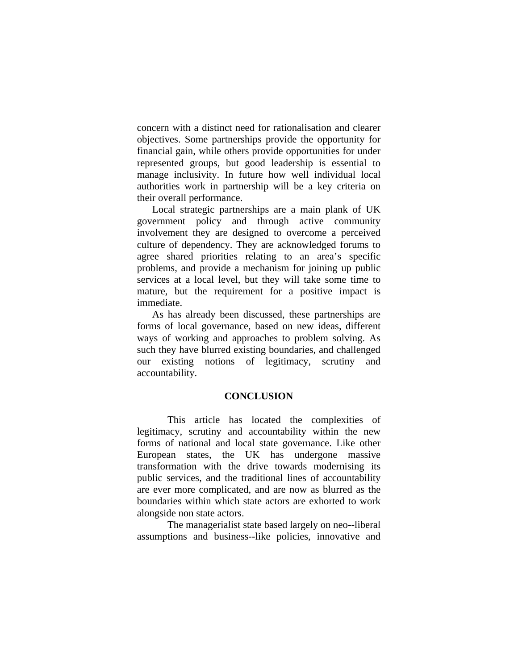concern with a distinct need for rationalisation and clearer objectives. Some partnerships provide the opportunity for financial gain, while others provide opportunities for under represented groups, but good leadership is essential to manage inclusivity. In future how well individual local authorities work in partnership will be a key criteria on their overall performance.

Local strategic partnerships are a main plank of UK government policy and through active community involvement they are designed to overcome a perceived culture of dependency. They are acknowledged forums to agree shared priorities relating to an area's specific problems, and provide a mechanism for joining up public services at a local level, but they will take some time to mature, but the requirement for a positive impact is immediate.

As has already been discussed, these partnerships are forms of local governance, based on new ideas, different ways of working and approaches to problem solving. As such they have blurred existing boundaries, and challenged our existing notions of legitimacy, scrutiny and accountability.

#### **CONCLUSION**

This article has located the complexities of legitimacy, scrutiny and accountability within the new forms of national and local state governance. Like other European states, the UK has undergone massive transformation with the drive towards modernising its public services, and the traditional lines of accountability are ever more complicated, and are now as blurred as the boundaries within which state actors are exhorted to work alongside non state actors.

The managerialist state based largely on neo--liberal assumptions and business--like policies, innovative and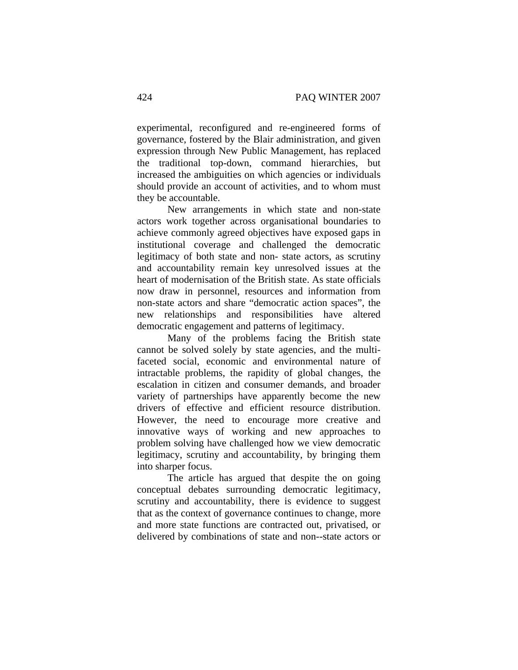experimental, reconfigured and re-engineered forms of governance, fostered by the Blair administration, and given expression through New Public Management, has replaced the traditional top-down, command hierarchies, but increased the ambiguities on which agencies or individuals should provide an account of activities, and to whom must they be accountable.

New arrangements in which state and non-state actors work together across organisational boundaries to achieve commonly agreed objectives have exposed gaps in institutional coverage and challenged the democratic legitimacy of both state and non- state actors, as scrutiny and accountability remain key unresolved issues at the heart of modernisation of the British state. As state officials now draw in personnel, resources and information from non-state actors and share "democratic action spaces", the new relationships and responsibilities have altered democratic engagement and patterns of legitimacy.

 Many of the problems facing the British state cannot be solved solely by state agencies, and the multifaceted social, economic and environmental nature of intractable problems, the rapidity of global changes, the escalation in citizen and consumer demands, and broader variety of partnerships have apparently become the new drivers of effective and efficient resource distribution. However, the need to encourage more creative and innovative ways of working and new approaches to problem solving have challenged how we view democratic legitimacy, scrutiny and accountability, by bringing them into sharper focus.

The article has argued that despite the on going conceptual debates surrounding democratic legitimacy, scrutiny and accountability, there is evidence to suggest that as the context of governance continues to change, more and more state functions are contracted out, privatised, or delivered by combinations of state and non--state actors or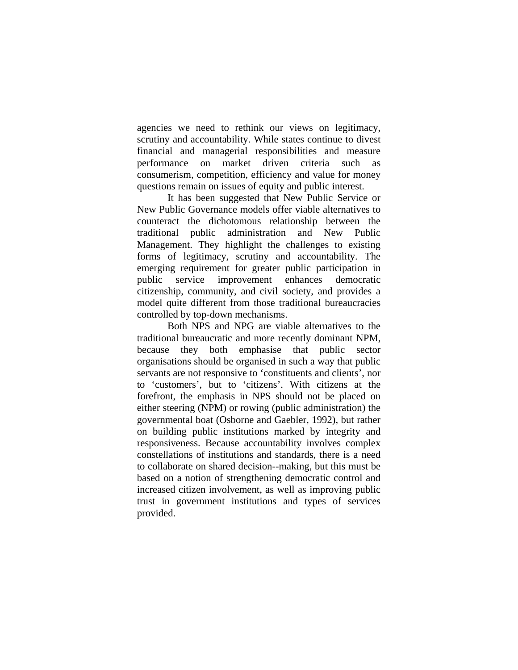agencies we need to rethink our views on legitimacy, scrutiny and accountability. While states continue to divest financial and managerial responsibilities and measure performance on market driven criteria such consumerism, competition, efficiency and value for money questions remain on issues of equity and public interest.

It has been suggested that New Public Service or New Public Governance models offer viable alternatives to counteract the dichotomous relationship between the traditional public administration and New Public Management. They highlight the challenges to existing forms of legitimacy, scrutiny and accountability. The emerging requirement for greater public participation in public service improvement enhances democratic citizenship, community, and civil society, and provides a model quite different from those traditional bureaucracies controlled by top-down mechanisms.

Both NPS and NPG are viable alternatives to the traditional bureaucratic and more recently dominant NPM, because they both emphasise that public sector organisations should be organised in such a way that public servants are not responsive to 'constituents and clients', nor to 'customers', but to 'citizens'. With citizens at the forefront, the emphasis in NPS should not be placed on either steering (NPM) or rowing (public administration) the governmental boat (Osborne and Gaebler, 1992), but rather on building public institutions marked by integrity and responsiveness. Because accountability involves complex constellations of institutions and standards, there is a need to collaborate on shared decision--making, but this must be based on a notion of strengthening democratic control and increased citizen involvement, as well as improving public trust in government institutions and types of services provided.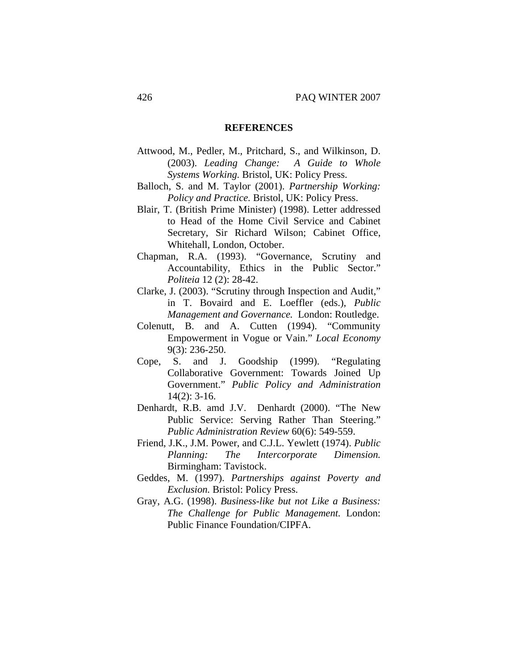## **REFERENCES**

- Attwood, M., Pedler, M., Pritchard, S., and Wilkinson, D. (2003). *Leading Change: A Guide to Whole Systems Working.* Bristol, UK: Policy Press.
- Balloch, S. and M. Taylor (2001). *Partnership Working: Policy and Practice.* Bristol, UK: Policy Press.
- Blair, T. (British Prime Minister) (1998). Letter addressed to Head of the Home Civil Service and Cabinet Secretary, Sir Richard Wilson; Cabinet Office, Whitehall, London, October.
- Chapman, R.A. (1993). "Governance, Scrutiny and Accountability, Ethics in the Public Sector." *Politeia* 12 (2): 28-42.
- Clarke, J. (2003). "Scrutiny through Inspection and Audit," in T. Bovaird and E. Loeffler (eds.), *Public Management and Governance.* London: Routledge.
- Colenutt, B. and A. Cutten (1994). "Community Empowerment in Vogue or Vain." *Local Economy* 9(3): 236-250.
- Cope, S. and J. Goodship (1999). "Regulating Collaborative Government: Towards Joined Up Government." *Public Policy and Administration* 14(2): 3-16.
- Denhardt, R.B. amd J.V. Denhardt (2000). "The New Public Service: Serving Rather Than Steering." *Public Administration Review* 60(6): 549-559.
- Friend, J.K., J.M. Power, and C.J.L. Yewlett (1974). *Public Planning: The Intercorporate Dimension.*  Birmingham: Tavistock.
- Geddes, M. (1997). *Partnerships against Poverty and Exclusion.* Bristol: Policy Press.
- Gray, A.G. (1998). *Business-like but not Like a Business: The Challenge for Public Management.* London: Public Finance Foundation/CIPFA.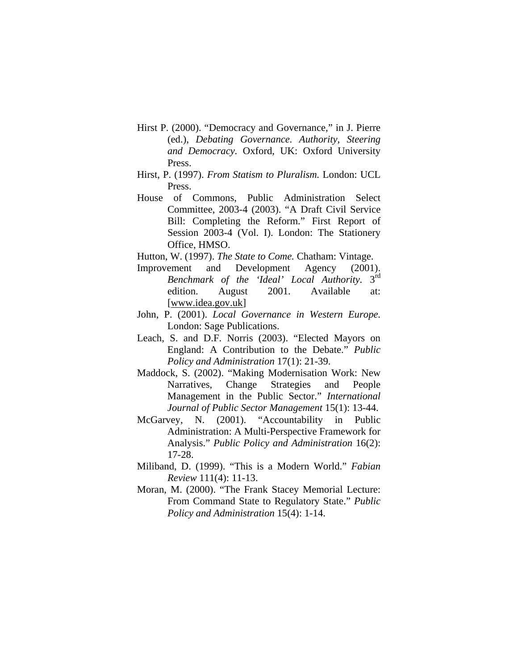- Hirst P. (2000). "Democracy and Governance," in J. Pierre (ed.), *Debating Governance. Authority, Steering and Democracy.* Oxford, UK: Oxford University Press.
- Hirst, P. (1997). *From Statism to Pluralism.* London: UCL Press.
- House of Commons, Public Administration Select Committee, 2003-4 (2003). "A Draft Civil Service Bill: Completing the Reform." First Report of Session 2003-4 (Vol. I). London: The Stationery Office, HMSO.
- Hutton, W. (1997). *The State to Come.* Chatham: Vintage.
- Improvement and Development Agency (2001). *Benchmark of the 'Ideal' Local Authority.* 3rd edition. August 2001. Available at: [[www.idea.gov.uk\]](http://www.idea.gov.uk/)
- John, P. (2001). *Local Governance in Western Europe.*  London: Sage Publications.
- Leach, S. and D.F. Norris (2003). "Elected Mayors on England: A Contribution to the Debate." *Public Policy and Administration* 17(1): 21-39.
- Maddock, S. (2002). "Making Modernisation Work: New Narratives, Change Strategies and People Management in the Public Sector." *International Journal of Public Sector Management* 15(1): 13-44.
- McGarvey, N. (2001). "Accountability in Public Administration: A Multi-Perspective Framework for Analysis." *Public Policy and Administration* 16(2): 17-28.
- Miliband, D. (1999). "This is a Modern World." *Fabian Review* 111(4): 11-13.
- Moran, M. (2000). "The Frank Stacey Memorial Lecture: From Command State to Regulatory State." *Public Policy and Administration* 15(4): 1-14.